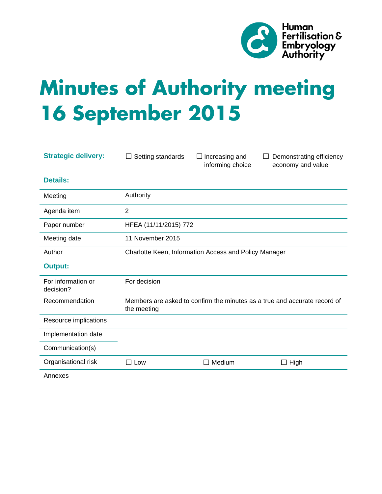

# **Minutes of Authority meeting 16 September 2015**

| <b>Strategic delivery:</b>      | Setting standards<br>$\Box$                                                              | $\Box$ Increasing and<br>informing choice | Demonstrating efficiency<br>Ħ<br>economy and value |
|---------------------------------|------------------------------------------------------------------------------------------|-------------------------------------------|----------------------------------------------------|
| <b>Details:</b>                 |                                                                                          |                                           |                                                    |
| Meeting                         | Authority                                                                                |                                           |                                                    |
| Agenda item                     | $\overline{2}$                                                                           |                                           |                                                    |
| Paper number                    | HFEA (11/11/2015) 772                                                                    |                                           |                                                    |
| Meeting date                    | 11 November 2015                                                                         |                                           |                                                    |
| Author                          | Charlotte Keen, Information Access and Policy Manager                                    |                                           |                                                    |
| <b>Output:</b>                  |                                                                                          |                                           |                                                    |
| For information or<br>decision? | For decision                                                                             |                                           |                                                    |
| Recommendation                  | Members are asked to confirm the minutes as a true and accurate record of<br>the meeting |                                           |                                                    |
| Resource implications           |                                                                                          |                                           |                                                    |
| Implementation date             |                                                                                          |                                           |                                                    |
| Communication(s)                |                                                                                          |                                           |                                                    |
| Organisational risk             | $\Box$ Low                                                                               | Medium                                    | $\Box$ High                                        |
|                                 |                                                                                          |                                           |                                                    |

Annexes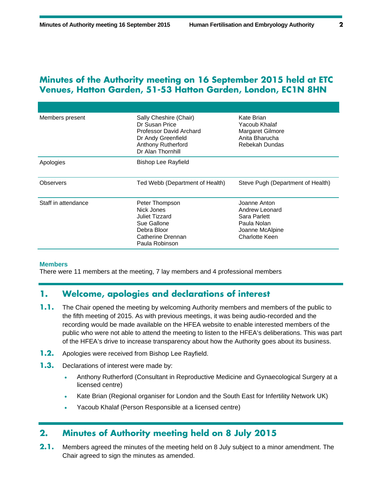## **Minutes of the Authority meeting on 16 September 2015 held at ETC Venues, Hatton Garden, 51-53 Hatton Garden, London, EC1N 8HN**

| Members present     | Sally Cheshire (Chair)<br>Dr Susan Price<br>Professor David Archard<br>Dr Andy Greenfield<br><b>Anthony Rutherford</b><br>Dr Alan Thornhill | Kate Brian<br>Yacoub Khalaf<br>Margaret Gilmore<br>Anita Bharucha<br>Rebekah Dundas                |
|---------------------|---------------------------------------------------------------------------------------------------------------------------------------------|----------------------------------------------------------------------------------------------------|
| Apologies           | Bishop Lee Rayfield                                                                                                                         |                                                                                                    |
| <b>Observers</b>    | Ted Webb (Department of Health)                                                                                                             | Steve Pugh (Department of Health)                                                                  |
| Staff in attendance | Peter Thompson<br>Nick Jones<br>Juliet Tizzard<br>Sue Gallone<br>Debra Bloor<br>Catherine Drennan<br>Paula Robinson                         | Joanne Anton<br>Andrew Leonard<br>Sara Parlett<br>Paula Nolan<br>Joanne McAlpine<br>Charlotte Keen |

#### **Members**

There were 11 members at the meeting, 7 lay members and 4 professional members

## **1. Welcome, apologies and declarations of interest**

- **1.1.** The Chair opened the meeting by welcoming Authority members and members of the public to the fifth meeting of 2015. As with previous meetings, it was being audio-recorded and the recording would be made available on the HFEA website to enable interested members of the public who were not able to attend the meeting to listen to the HFEA's deliberations. This was part of the HFEA's drive to increase transparency about how the Authority goes about its business.
- **1.2.** Apologies were received from Bishop Lee Rayfield.
- **1.3.** Declarations of interest were made by:
	- Anthony Rutherford (Consultant in Reproductive Medicine and Gynaecological Surgery at a licensed centre)
	- Kate Brian (Regional organiser for London and the South East for Infertility Network UK)
	- Yacoub Khalaf (Person Responsible at a licensed centre)

### **2. Minutes of Authority meeting held on 8 July 2015**

**2.1.** Members agreed the minutes of the meeting held on 8 July subject to a minor amendment. The Chair agreed to sign the minutes as amended.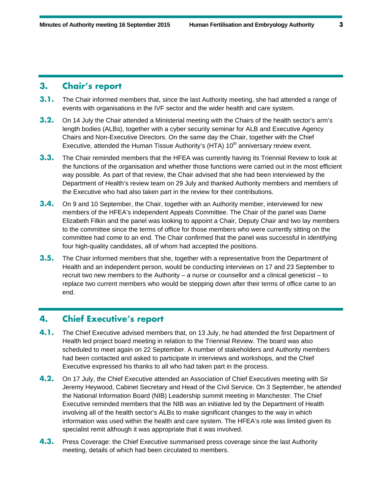## **3. Chair's report**

- **3.1.** The Chair informed members that, since the last Authority meeting, she had attended a range of events with organisations in the IVF sector and the wider health and care system.
- **3.2.** On 14 July the Chair attended a Ministerial meeting with the Chairs of the health sector's arm's length bodies (ALBs), together with a cyber security seminar for ALB and Executive Agency Chairs and Non-Executive Directors. On the same day the Chair, together with the Chief Executive, attended the Human Tissue Authority's (HTA)  $10<sup>th</sup>$  anniversary review event.
- **3.3.** The Chair reminded members that the HFEA was currently having its Triennial Review to look at the functions of the organisation and whether those functions were carried out in the most efficient way possible. As part of that review, the Chair advised that she had been interviewed by the Department of Health's review team on 29 July and thanked Authority members and members of the Executive who had also taken part in the review for their contributions.
- **3.4.** On 9 and 10 September, the Chair, together with an Authority member, interviewed for new members of the HFEA's independent Appeals Committee. The Chair of the panel was Dame Elizabeth Filkin and the panel was looking to appoint a Chair, Deputy Chair and two lay members to the committee since the terms of office for those members who were currently sitting on the committee had come to an end. The Chair confirmed that the panel was successful in identifying four high-quality candidates, all of whom had accepted the positions.
- **3.5.** The Chair informed members that she, together with a representative from the Department of Health and an independent person, would be conducting interviews on 17 and 23 September to recruit two new members to the Authority – a nurse or counsellor and a clinical geneticist – to replace two current members who would be stepping down after their terms of office came to an end.

## **4. Chief Executive's report**

- **4.1.** The Chief Executive advised members that, on 13 July, he had attended the first Department of Health led project board meeting in relation to the Triennial Review. The board was also scheduled to meet again on 22 September. A number of stakeholders and Authority members had been contacted and asked to participate in interviews and workshops, and the Chief Executive expressed his thanks to all who had taken part in the process.
- **4.2.** On 17 July, the Chief Executive attended an Association of Chief Executives meeting with Sir Jeremy Heywood, Cabinet Secretary and Head of the Civil Service. On 3 September, he attended the National Information Board (NIB) Leadership summit meeting in Manchester. The Chief Executive reminded members that the NIB was an initiative led by the Department of Health involving all of the health sector's ALBs to make significant changes to the way in which information was used within the health and care system. The HFEA's role was limited given its specialist remit although it was appropriate that it was involved.
- **4.3.** Press Coverage: the Chief Executive summarised press coverage since the last Authority meeting, details of which had been circulated to members.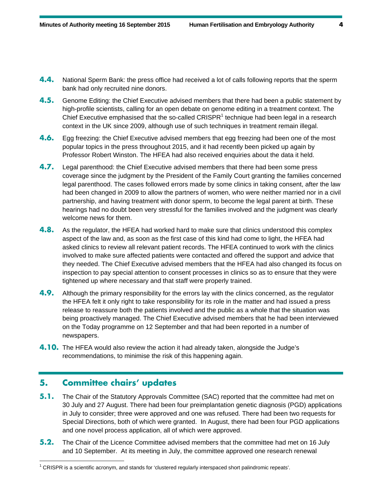- **4.4.** National Sperm Bank: the press office had received a lot of calls following reports that the sperm bank had only recruited nine donors.
- **4.5.** Genome Editing: the Chief Executive advised members that there had been a public statement by high-profile scientists, calling for an open debate on genome editing in a treatment context. The Chief Executive emphasised that the so-called CRISPR $<sup>1</sup>$  technique had been legal in a research</sup> context in the UK since 2009, although use of such techniques in treatment remain illegal.
- **4.6.** Egg freezing: the Chief Executive advised members that egg freezing had been one of the most popular topics in the press throughout 2015, and it had recently been picked up again by Professor Robert Winston. The HFEA had also received enquiries about the data it held.
- **4.7.** Legal parenthood: the Chief Executive advised members that there had been some press coverage since the judgment by the President of the Family Court granting the families concerned legal parenthood. The cases followed errors made by some clinics in taking consent, after the law had been changed in 2009 to allow the partners of women, who were neither married nor in a civil partnership, and having treatment with donor sperm, to become the legal parent at birth. These hearings had no doubt been very stressful for the families involved and the judgment was clearly welcome news for them.
- **4.8.** As the regulator, the HFEA had worked hard to make sure that clinics understood this complex aspect of the law and, as soon as the first case of this kind had come to light, the HFEA had asked clinics to review all relevant patient records. The HFEA continued to work with the clinics involved to make sure affected patients were contacted and offered the support and advice that they needed. The Chief Executive advised members that the HFEA had also changed its focus on inspection to pay special attention to consent processes in clinics so as to ensure that they were tightened up where necessary and that staff were properly trained.
- **4.9.** Although the primary responsibility for the errors lay with the clinics concerned, as the regulator the HFEA felt it only right to take responsibility for its role in the matter and had issued a press release to reassure both the patients involved and the public as a whole that the situation was being proactively managed. The Chief Executive advised members that he had been interviewed on the Today programme on 12 September and that had been reported in a number of newspapers.
- **4.10.** The HFEA would also review the action it had already taken, alongside the Judge's recommendations, to minimise the risk of this happening again.

## **5. Committee chairs' updates**

1

- **5.1.** The Chair of the Statutory Approvals Committee (SAC) reported that the committee had met on 30 July and 27 August. There had been four preimplantation genetic diagnosis (PGD) applications in July to consider; three were approved and one was refused. There had been two requests for Special Directions, both of which were granted. In August, there had been four PGD applications and one novel process application, all of which were approved.
- **5.2.** The Chair of the Licence Committee advised members that the committee had met on 16 July and 10 September. At its meeting in July, the committee approved one research renewal

<sup>&</sup>lt;sup>1</sup> CRISPR is a scientific acronym, and stands for 'clustered regularly interspaced short palindromic repeats'.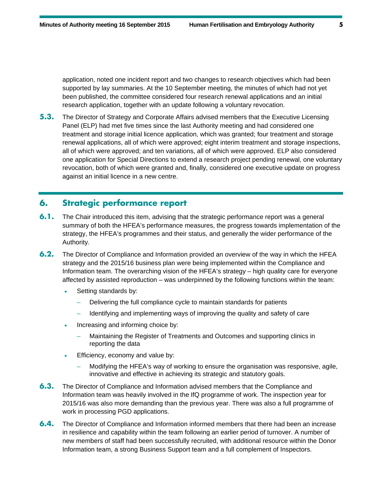application, noted one incident report and two changes to research objectives which had been supported by lay summaries. At the 10 September meeting, the minutes of which had not yet been published, the committee considered four research renewal applications and an initial research application, together with an update following a voluntary revocation.

**5.3.** The Director of Strategy and Corporate Affairs advised members that the Executive Licensing Panel (ELP) had met five times since the last Authority meeting and had considered one treatment and storage initial licence application, which was granted; four treatment and storage renewal applications, all of which were approved; eight interim treatment and storage inspections, all of which were approved; and ten variations, all of which were approved. ELP also considered one application for Special Directions to extend a research project pending renewal, one voluntary revocation, both of which were granted and, finally, considered one executive update on progress against an initial licence in a new centre.

# **6. Strategic performance report**

- **6.1.** The Chair introduced this item, advising that the strategic performance report was a general summary of both the HFEA's performance measures, the progress towards implementation of the strategy, the HFEA's programmes and their status, and generally the wider performance of the Authority.
- **6.2.** The Director of Compliance and Information provided an overview of the way in which the HFEA strategy and the 2015/16 business plan were being implemented within the Compliance and Information team. The overarching vision of the HFEA's strategy – high quality care for everyone affected by assisted reproduction – was underpinned by the following functions within the team:
	- Setting standards by:
		- Delivering the full compliance cycle to maintain standards for patients
		- Identifying and implementing ways of improving the quality and safety of care
	- Increasing and informing choice by:
		- Maintaining the Register of Treatments and Outcomes and supporting clinics in reporting the data
	- Efficiency, economy and value by:
		- Modifying the HFEA's way of working to ensure the organisation was responsive, agile, innovative and effective in achieving its strategic and statutory goals.
- **6.3.** The Director of Compliance and Information advised members that the Compliance and Information team was heavily involved in the IfQ programme of work. The inspection year for 2015/16 was also more demanding than the previous year. There was also a full programme of work in processing PGD applications.
- **6.4.** The Director of Compliance and Information informed members that there had been an increase in resilience and capability within the team following an earlier period of turnover. A number of new members of staff had been successfully recruited, with additional resource within the Donor Information team, a strong Business Support team and a full complement of Inspectors.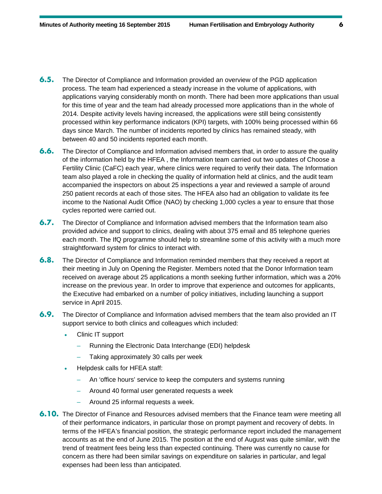- **6.5.** The Director of Compliance and Information provided an overview of the PGD application process. The team had experienced a steady increase in the volume of applications, with applications varying considerably month on month. There had been more applications than usual for this time of year and the team had already processed more applications than in the whole of 2014. Despite activity levels having increased, the applications were still being consistently processed within key performance indicators (KPI) targets, with 100% being processed within 66 days since March. The number of incidents reported by clinics has remained steady, with between 40 and 50 incidents reported each month.
- **6.6.** The Director of Compliance and Information advised members that, in order to assure the quality of the information held by the HFEA , the Information team carried out two updates of Choose a Fertility Clinic (CaFC) each year, where clinics were required to verify their data. The Information team also played a role in checking the quality of information held at clinics, and the audit team accompanied the inspectors on about 25 inspections a year and reviewed a sample of around 250 patient records at each of those sites. The HFEA also had an obligation to validate its fee income to the National Audit Office (NAO) by checking 1,000 cycles a year to ensure that those cycles reported were carried out.
- **6.7.** The Director of Compliance and Information advised members that the Information team also provided advice and support to clinics, dealing with about 375 email and 85 telephone queries each month. The IfQ programme should help to streamline some of this activity with a much more straightforward system for clinics to interact with.
- **6.8.** The Director of Compliance and Information reminded members that they received a report at their meeting in July on Opening the Register. Members noted that the Donor Information team received on average about 25 applications a month seeking further information, which was a 20% increase on the previous year. In order to improve that experience and outcomes for applicants, the Executive had embarked on a number of policy initiatives, including launching a support service in April 2015.
- **6.9.** The Director of Compliance and Information advised members that the team also provided an IT support service to both clinics and colleagues which included:
	- Clinic IT support
		- Running the Electronic Data Interchange (EDI) helpdesk
		- Taking approximately 30 calls per week
	- Helpdesk calls for HFEA staff:
		- An 'office hours' service to keep the computers and systems running
		- Around 40 formal user generated requests a week
		- Around 25 informal requests a week.
- **6.10.** The Director of Finance and Resources advised members that the Finance team were meeting all of their performance indicators, in particular those on prompt payment and recovery of debts. In terms of the HFEA's financial position, the strategic performance report included the management accounts as at the end of June 2015. The position at the end of August was quite similar, with the trend of treatment fees being less than expected continuing. There was currently no cause for concern as there had been similar savings on expenditure on salaries in particular, and legal expenses had been less than anticipated.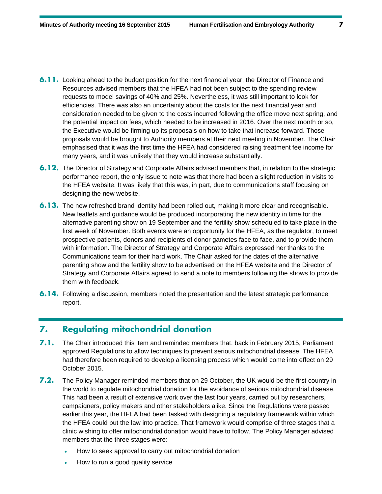- **6.11.** Looking ahead to the budget position for the next financial year, the Director of Finance and Resources advised members that the HFEA had not been subject to the spending review requests to model savings of 40% and 25%. Nevertheless, it was still important to look for efficiencies. There was also an uncertainty about the costs for the next financial year and consideration needed to be given to the costs incurred following the office move next spring, and the potential impact on fees, which needed to be increased in 2016. Over the next month or so, the Executive would be firming up its proposals on how to take that increase forward. Those proposals would be brought to Authority members at their next meeting in November. The Chair emphasised that it was the first time the HFEA had considered raising treatment fee income for many years, and it was unlikely that they would increase substantially.
- **6.12.** The Director of Strategy and Corporate Affairs advised members that, in relation to the strategic performance report, the only issue to note was that there had been a slight reduction in visits to the HFEA website. It was likely that this was, in part, due to communications staff focusing on designing the new website.
- **6.13.** The new refreshed brand identity had been rolled out, making it more clear and recognisable. New leaflets and guidance would be produced incorporating the new identity in time for the alternative parenting show on 19 September and the fertility show scheduled to take place in the first week of November. Both events were an opportunity for the HFEA, as the regulator, to meet prospective patients, donors and recipients of donor gametes face to face, and to provide them with information. The Director of Strategy and Corporate Affairs expressed her thanks to the Communications team for their hard work. The Chair asked for the dates of the alternative parenting show and the fertility show to be advertised on the HFEA website and the Director of Strategy and Corporate Affairs agreed to send a note to members following the shows to provide them with feedback.
- **6.14.** Following a discussion, members noted the presentation and the latest strategic performance report.

## **7. Regulating mitochondrial donation**

- **7.1.** The Chair introduced this item and reminded members that, back in February 2015, Parliament approved Regulations to allow techniques to prevent serious mitochondrial disease. The HFEA had therefore been required to develop a licensing process which would come into effect on 29 October 2015.
- **7.2.** The Policy Manager reminded members that on 29 October, the UK would be the first country in the world to regulate mitochondrial donation for the avoidance of serious mitochondrial disease. This had been a result of extensive work over the last four years, carried out by researchers, campaigners, policy makers and other stakeholders alike. Since the Regulations were passed earlier this year, the HFEA had been tasked with designing a regulatory framework within which the HFEA could put the law into practice. That framework would comprise of three stages that a clinic wishing to offer mitochondrial donation would have to follow. The Policy Manager advised members that the three stages were:
	- How to seek approval to carry out mitochondrial donation
	- How to run a good quality service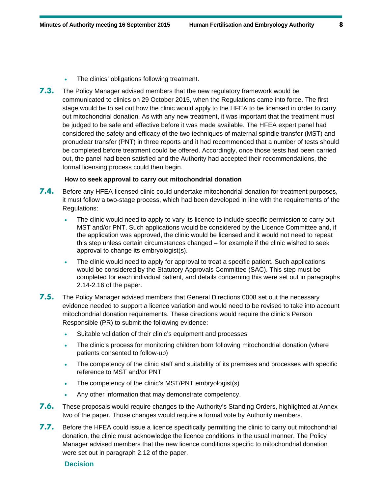- The clinics' obligations following treatment.
- **7.3.** The Policy Manager advised members that the new regulatory framework would be communicated to clinics on 29 October 2015, when the Regulations came into force. The first stage would be to set out how the clinic would apply to the HFEA to be licensed in order to carry out mitochondrial donation. As with any new treatment, it was important that the treatment must be judged to be safe and effective before it was made available. The HFEA expert panel had considered the safety and efficacy of the two techniques of maternal spindle transfer (MST) and pronuclear transfer (PNT) in three reports and it had recommended that a number of tests should be completed before treatment could be offered. Accordingly, once those tests had been carried out, the panel had been satisfied and the Authority had accepted their recommendations, the formal licensing process could then begin.

#### **How to seek approval to carry out mitochondrial donation**

- 7.4. Before any HFEA-licensed clinic could undertake mitochondrial donation for treatment purposes, it must follow a two-stage process, which had been developed in line with the requirements of the Regulations:
	- The clinic would need to apply to vary its licence to include specific permission to carry out MST and/or PNT. Such applications would be considered by the Licence Committee and, if the application was approved, the clinic would be licensed and it would not need to repeat this step unless certain circumstances changed – for example if the clinic wished to seek approval to change its embryologist(s).
	- The clinic would need to apply for approval to treat a specific patient. Such applications would be considered by the Statutory Approvals Committee (SAC). This step must be completed for each individual patient, and details concerning this were set out in paragraphs 2.14-2.16 of the paper.
- **7.5.** The Policy Manager advised members that General Directions 0008 set out the necessary evidence needed to support a licence variation and would need to be revised to take into account mitochondrial donation requirements. These directions would require the clinic's Person Responsible (PR) to submit the following evidence:
	- Suitable validation of their clinic's equipment and processes
	- The clinic's process for monitoring children born following mitochondrial donation (where patients consented to follow-up)
	- The competency of the clinic staff and suitability of its premises and processes with specific reference to MST and/or PNT
	- The competency of the clinic's MST/PNT embryologist(s)
	- Any other information that may demonstrate competency.
- **7.6.** These proposals would require changes to the Authority's Standing Orders, highlighted at Annex two of the paper. Those changes would require a formal vote by Authority members.
- **7.7.** Before the HFEA could issue a licence specifically permitting the clinic to carry out mitochondrial donation, the clinic must acknowledge the licence conditions in the usual manner. The Policy Manager advised members that the new licence conditions specific to mitochondrial donation were set out in paragraph 2.12 of the paper.

#### **Decision**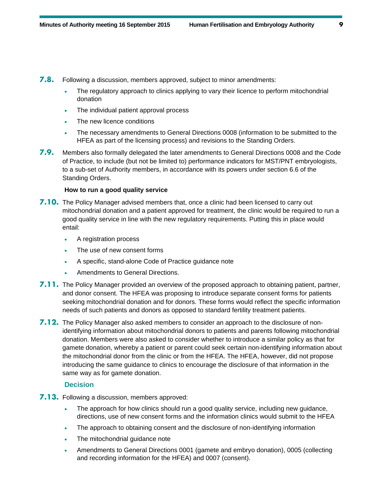- **7.8.** Following a discussion, members approved, subject to minor amendments:
	- The regulatory approach to clinics applying to vary their licence to perform mitochondrial donation
	- The individual patient approval process
	- The new licence conditions
	- The necessary amendments to General Directions 0008 (information to be submitted to the HFEA as part of the licensing process) and revisions to the Standing Orders.
- **7.9.** Members also formally delegated the later amendments to General Directions 0008 and the Code of Practice, to include (but not be limited to) performance indicators for MST/PNT embryologists, to a sub-set of Authority members, in accordance with its powers under section 6.6 of the Standing Orders.

#### **How to run a good quality service**

- **7.10.** The Policy Manager advised members that, once a clinic had been licensed to carry out mitochondrial donation and a patient approved for treatment, the clinic would be required to run a good quality service in line with the new regulatory requirements. Putting this in place would entail:
	- A registration process
	- The use of new consent forms
	- A specific, stand-alone Code of Practice guidance note
	- Amendments to General Directions.
- **7.11.** The Policy Manager provided an overview of the proposed approach to obtaining patient, partner, and donor consent. The HFEA was proposing to introduce separate consent forms for patients seeking mitochondrial donation and for donors. These forms would reflect the specific information needs of such patients and donors as opposed to standard fertility treatment patients.
- **7.12.** The Policy Manager also asked members to consider an approach to the disclosure of nonidentifying information about mitochondrial donors to patients and parents following mitochondrial donation. Members were also asked to consider whether to introduce a similar policy as that for gamete donation, whereby a patient or parent could seek certain non-identifying information about the mitochondrial donor from the clinic or from the HFEA. The HFEA, however, did not propose introducing the same guidance to clinics to encourage the disclosure of that information in the same way as for gamete donation.

#### **Decision**

- **7.13.** Following a discussion, members approved:
	- The approach for how clinics should run a good quality service, including new guidance, directions, use of new consent forms and the information clinics would submit to the HFEA
	- The approach to obtaining consent and the disclosure of non-identifying information
	- The mitochondrial guidance note
	- Amendments to General Directions 0001 (gamete and embryo donation), 0005 (collecting and recording information for the HFEA) and 0007 (consent).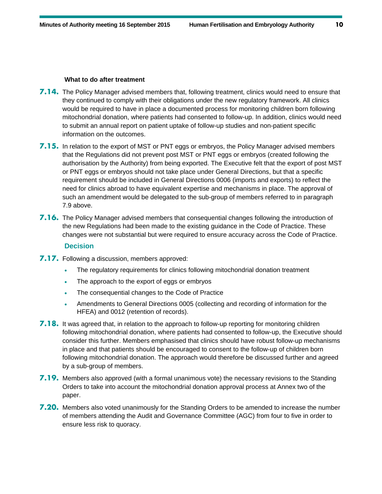#### **What to do after treatment**

- **7.14.** The Policy Manager advised members that, following treatment, clinics would need to ensure that they continued to comply with their obligations under the new regulatory framework. All clinics would be required to have in place a documented process for monitoring children born following mitochondrial donation, where patients had consented to follow-up. In addition, clinics would need to submit an annual report on patient uptake of follow-up studies and non-patient specific information on the outcomes.
- **7.15.** In relation to the export of MST or PNT eggs or embryos, the Policy Manager advised members that the Regulations did not prevent post MST or PNT eggs or embryos (created following the authorisation by the Authority) from being exported. The Executive felt that the export of post MST or PNT eggs or embryos should not take place under General Directions, but that a specific requirement should be included in General Directions 0006 (imports and exports) to reflect the need for clinics abroad to have equivalent expertise and mechanisms in place. The approval of such an amendment would be delegated to the sub-group of members referred to in paragraph 7.9 above.
- **7.16.** The Policy Manager advised members that consequential changes following the introduction of the new Regulations had been made to the existing guidance in the Code of Practice. These changes were not substantial but were required to ensure accuracy across the Code of Practice.

#### **Decision**

- **7.17.** Following a discussion, members approved:
	- The regulatory requirements for clinics following mitochondrial donation treatment
	- The approach to the export of eggs or embryos
	- The consequential changes to the Code of Practice
	- Amendments to General Directions 0005 (collecting and recording of information for the HFEA) and 0012 (retention of records).
- **7.18.** It was agreed that, in relation to the approach to follow-up reporting for monitoring children following mitochondrial donation, where patients had consented to follow-up, the Executive should consider this further. Members emphasised that clinics should have robust follow-up mechanisms in place and that patients should be encouraged to consent to the follow-up of children born following mitochondrial donation. The approach would therefore be discussed further and agreed by a sub-group of members.
- **7.19.** Members also approved (with a formal unanimous vote) the necessary revisions to the Standing Orders to take into account the mitochondrial donation approval process at Annex two of the paper.
- **7.20.** Members also voted unanimously for the Standing Orders to be amended to increase the number of members attending the Audit and Governance Committee (AGC) from four to five in order to ensure less risk to quoracy.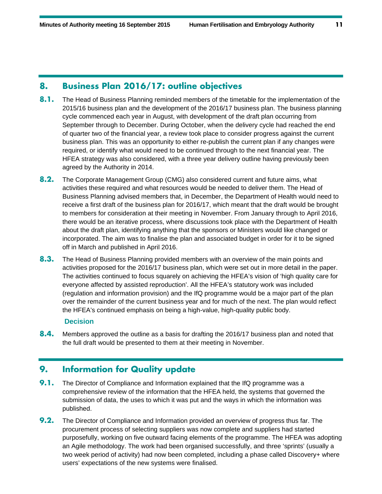# **8. Business Plan 2016/17: outline objectives**

- 8.1. The Head of Business Planning reminded members of the timetable for the implementation of the 2015/16 business plan and the development of the 2016/17 business plan. The business planning cycle commenced each year in August, with development of the draft plan occurring from September through to December. During October, when the delivery cycle had reached the end of quarter two of the financial year, a review took place to consider progress against the current business plan. This was an opportunity to either re-publish the current plan if any changes were required, or identify what would need to be continued through to the next financial year. The HFEA strategy was also considered, with a three year delivery outline having previously been agreed by the Authority in 2014.
- **8.2.** The Corporate Management Group (CMG) also considered current and future aims, what activities these required and what resources would be needed to deliver them. The Head of Business Planning advised members that, in December, the Department of Health would need to receive a first draft of the business plan for 2016/17, which meant that the draft would be brought to members for consideration at their meeting in November. From January through to April 2016, there would be an iterative process, where discussions took place with the Department of Health about the draft plan, identifying anything that the sponsors or Ministers would like changed or incorporated. The aim was to finalise the plan and associated budget in order for it to be signed off in March and published in April 2016.
- **8.3.** The Head of Business Planning provided members with an overview of the main points and activities proposed for the 2016/17 business plan, which were set out in more detail in the paper. The activities continued to focus squarely on achieving the HFEA's vision of 'high quality care for everyone affected by assisted reproduction'. All the HFEA's statutory work was included (regulation and information provision) and the IfQ programme would be a major part of the plan over the remainder of the current business year and for much of the next. The plan would reflect the HFEA's continued emphasis on being a high-value, high-quality public body.

#### **Decision**

**8.4.** Members approved the outline as a basis for drafting the 2016/17 business plan and noted that the full draft would be presented to them at their meeting in November.

# **9. Information for Quality update**

- **9.1.** The Director of Compliance and Information explained that the IfQ programme was a comprehensive review of the information that the HFEA held, the systems that governed the submission of data, the uses to which it was put and the ways in which the information was published.
- **9.2.** The Director of Compliance and Information provided an overview of progress thus far. The procurement process of selecting suppliers was now complete and suppliers had started purposefully, working on five outward facing elements of the programme. The HFEA was adopting an Agile methodology. The work had been organised successfully, and three 'sprints' (usually a two week period of activity) had now been completed, including a phase called Discovery+ where users' expectations of the new systems were finalised.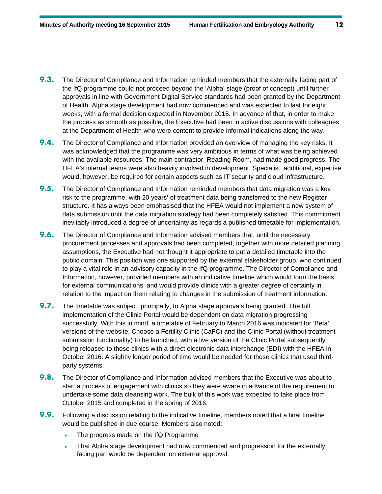- **9.3.** The Director of Compliance and Information reminded members that the externally facing part of the IfQ programme could not proceed beyond the 'Alpha' stage (proof of concept) until further approvals in line with Government Digital Service standards had been granted by the Department of Health. Alpha stage development had now commenced and was expected to last for eight weeks, with a formal decision expected in November 2015. In advance of that, in order to make the process as smooth as possible, the Executive had been in active discussions with colleagues at the Department of Health who were content to provide informal indications along the way.
- **9.4.** The Director of Compliance and Information provided an overview of managing the key risks. It was acknowledged that the programme was very ambitious in terms of what was being achieved with the available resources. The main contractor, Reading Room, had made good progress. The HFEA's internal teams were also heavily involved in development. Specialist, additional, expertise would, however, be required for certain aspects such as IT security and cloud infrastructure.
- **9.5.** The Director of Compliance and Information reminded members that data migration was a key risk to the programme, with 20 years' of treatment data being transferred to the new Register structure. It has always been emphasised that the HFEA would not implement a new system of data submission until the data migration strategy had been completely satisfied. This commitment inevitably introduced a degree of uncertainty as regards a published timetable for implementation.
- **9.6.** The Director of Compliance and Information advised members that, until the necessary procurement processes and approvals had been completed, together with more detailed planning assumptions, the Executive had not thought it appropriate to put a detailed timetable into the public domain. This position was one supported by the external stakeholder group, who continued to play a vital role in an advisory capacity in the IfQ programme. The Director of Compliance and Information, however, provided members with an indicative timeline which would form the basis for external communications, and would provide clinics with a greater degree of certainty in relation to the impact on them relating to changes in the submission of treatment information.
- **9.7.** The timetable was subject, principally, to Alpha stage approvals being granted. The full implementation of the Clinic Portal would be dependent on data migration progressing successfully. With this in mind, a timetable of February to March 2016 was indicated for 'Beta' versions of the website, Choose a Fertility Clinic (CaFC) and the Clinic Portal (without treatment submission functionality) to be launched, with a live version of the Clinic Portal subsequently being released to those clinics with a direct electronic data interchange (EDI) with the HFEA in October 2016. A slightly longer period of time would be needed for those clinics that used thirdparty systems.
- **9.8.** The Director of Compliance and Information advised members that the Executive was about to start a process of engagement with clinics so they were aware in advance of the requirement to undertake some data cleansing work. The bulk of this work was expected to take place from October 2015 and completed in the spring of 2016.
- **9.9.** Following a discussion relating to the indicative timeline, members noted that a final timeline would be published in due course. Members also noted:
	- The progress made on the IfQ Programme
	- That Alpha stage development had now commenced and progression for the externally facing part would be dependent on external approval.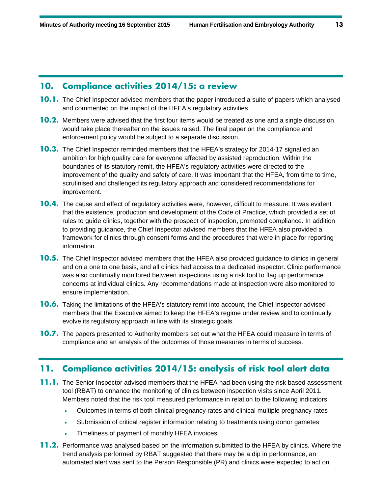## **10. Compliance activities 2014/15: a review**

- **10.1.** The Chief Inspector advised members that the paper introduced a suite of papers which analysed and commented on the impact of the HFEA's regulatory activities.
- **10.2.** Members were advised that the first four items would be treated as one and a single discussion would take place thereafter on the issues raised. The final paper on the compliance and enforcement policy would be subject to a separate discussion.
- **10.3.** The Chief Inspector reminded members that the HFEA's strategy for 2014-17 signalled an ambition for high quality care for everyone affected by assisted reproduction. Within the boundaries of its statutory remit, the HFEA's regulatory activities were directed to the improvement of the quality and safety of care. It was important that the HFEA, from time to time, scrutinised and challenged its regulatory approach and considered recommendations for improvement.
- **10.4.** The cause and effect of regulatory activities were, however, difficult to measure. It was evident that the existence, production and development of the Code of Practice, which provided a set of rules to guide clinics, together with the prospect of inspection, promoted compliance. In addition to providing guidance, the Chief Inspector advised members that the HFEA also provided a framework for clinics through consent forms and the procedures that were in place for reporting information.
- **10.5.** The Chief Inspector advised members that the HFEA also provided guidance to clinics in general and on a one to one basis, and all clinics had access to a dedicated inspector. Clinic performance was also continually monitored between inspections using a risk tool to flag up performance concerns at individual clinics. Any recommendations made at inspection were also monitored to ensure implementation.
- **10.6.** Taking the limitations of the HFEA's statutory remit into account, the Chief Inspector advised members that the Executive aimed to keep the HFEA's regime under review and to continually evolve its regulatory approach in line with its strategic goals.
- **10.7.** The papers presented to Authority members set out what the HFEA could measure in terms of compliance and an analysis of the outcomes of those measures in terms of success.

# **11. Compliance activities 2014/15: analysis of risk tool alert data**

- **11.1.** The Senior Inspector advised members that the HFEA had been using the risk based assessment tool (RBAT) to enhance the monitoring of clinics between inspection visits since April 2011. Members noted that the risk tool measured performance in relation to the following indicators:
	- Outcomes in terms of both clinical pregnancy rates and clinical multiple pregnancy rates
	- Submission of critical register information relating to treatments using donor gametes
	- Timeliness of payment of monthly HFEA invoices.
- **11.2.** Performance was analysed based on the information submitted to the HFEA by clinics. Where the trend analysis performed by RBAT suggested that there may be a dip in performance, an automated alert was sent to the Person Responsible (PR) and clinics were expected to act on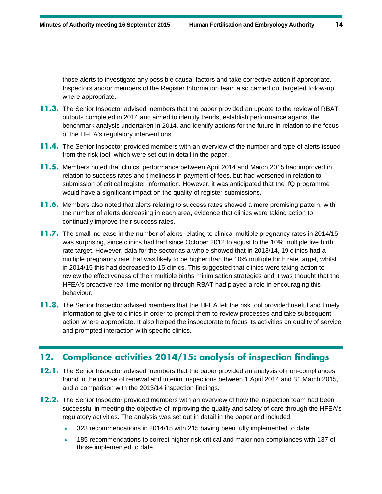those alerts to investigate any possible causal factors and take corrective action if appropriate. Inspectors and/or members of the Register Information team also carried out targeted follow-up where appropriate.

- **11.3.** The Senior Inspector advised members that the paper provided an update to the review of RBAT outputs completed in 2014 and aimed to identify trends, establish performance against the benchmark analysis undertaken in 2014, and identify actions for the future in relation to the focus of the HFEA's regulatory interventions.
- **11.4.** The Senior Inspector provided members with an overview of the number and type of alerts issued from the risk tool, which were set out in detail in the paper.
- **11.5.** Members noted that clinics' performance between April 2014 and March 2015 had improved in relation to success rates and timeliness in payment of fees, but had worsened in relation to submission of critical register information. However, it was anticipated that the IfQ programme would have a significant impact on the quality of register submissions.
- **11.6.** Members also noted that alerts relating to success rates showed a more promising pattern, with the number of alerts decreasing in each area, evidence that clinics were taking action to continually improve their success rates.
- **11.7.** The small increase in the number of alerts relating to clinical multiple pregnancy rates in 2014/15 was surprising, since clinics had had since October 2012 to adjust to the 10% multiple live birth rate target. However, data for the sector as a whole showed that in 2013/14, 19 clinics had a multiple pregnancy rate that was likely to be higher than the 10% multiple birth rate target, whilst in 2014/15 this had decreased to 15 clinics. This suggested that clinics were taking action to review the effectiveness of their multiple births minimisation strategies and it was thought that the HFEA's proactive real time monitoring through RBAT had played a role in encouraging this behaviour.
- **11.8.** The Senior Inspector advised members that the HFEA felt the risk tool provided useful and timely information to give to clinics in order to prompt them to review processes and take subsequent action where appropriate. It also helped the inspectorate to focus its activities on quality of service and prompted interaction with specific clinics.

# **12. Compliance activities 2014/15: analysis of inspection findings**

- **12.1.** The Senior Inspector advised members that the paper provided an analysis of non-compliances found in the course of renewal and interim inspections between 1 April 2014 and 31 March 2015, and a comparison with the 2013/14 inspection findings.
- **12.2.** The Senior Inspector provided members with an overview of how the inspection team had been successful in meeting the objective of improving the quality and safety of care through the HFEA's regulatory activities. The analysis was set out in detail in the paper and included:
	- 323 recommendations in 2014/15 with 215 having been fully implemented to date
	- 185 recommendations to correct higher risk critical and major non-compliances with 137 of those implemented to date.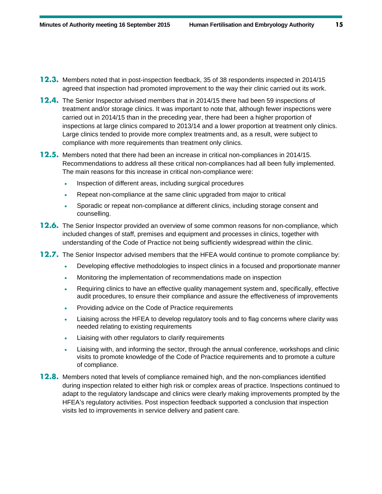- **12.3.** Members noted that in post-inspection feedback, 35 of 38 respondents inspected in 2014/15 agreed that inspection had promoted improvement to the way their clinic carried out its work.
- **12.4.** The Senior Inspector advised members that in 2014/15 there had been 59 inspections of treatment and/or storage clinics. It was important to note that, although fewer inspections were carried out in 2014/15 than in the preceding year, there had been a higher proportion of inspections at large clinics compared to 2013/14 and a lower proportion at treatment only clinics. Large clinics tended to provide more complex treatments and, as a result, were subject to compliance with more requirements than treatment only clinics.
- **12.5.** Members noted that there had been an increase in critical non-compliances in 2014/15. Recommendations to address all these critical non-compliances had all been fully implemented. The main reasons for this increase in critical non-compliance were:
	- Inspection of different areas, including surgical procedures
	- Repeat non-compliance at the same clinic upgraded from major to critical
	- Sporadic or repeat non-compliance at different clinics, including storage consent and counselling.
- **12.6.** The Senior Inspector provided an overview of some common reasons for non-compliance, which included changes of staff, premises and equipment and processes in clinics, together with understanding of the Code of Practice not being sufficiently widespread within the clinic.
- **12.7.** The Senior Inspector advised members that the HFEA would continue to promote compliance by:
	- Developing effective methodologies to inspect clinics in a focused and proportionate manner
	- Monitoring the implementation of recommendations made on inspection
	- Requiring clinics to have an effective quality management system and, specifically, effective audit procedures, to ensure their compliance and assure the effectiveness of improvements
	- Providing advice on the Code of Practice requirements
	- Liaising across the HFEA to develop regulatory tools and to flag concerns where clarity was needed relating to existing requirements
	- Liaising with other regulators to clarify requirements
	- Liaising with, and informing the sector, through the annual conference, workshops and clinic visits to promote knowledge of the Code of Practice requirements and to promote a culture of compliance.
- **12.8.** Members noted that levels of compliance remained high, and the non-compliances identified during inspection related to either high risk or complex areas of practice. Inspections continued to adapt to the regulatory landscape and clinics were clearly making improvements prompted by the HFEA's regulatory activities. Post inspection feedback supported a conclusion that inspection visits led to improvements in service delivery and patient care.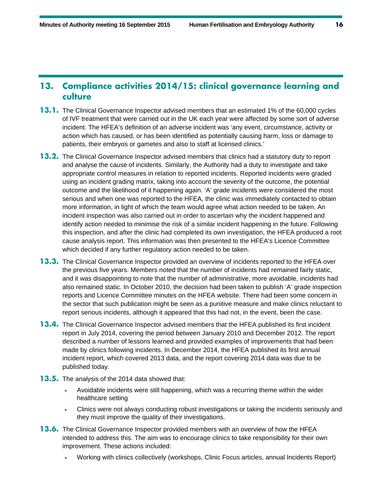# **13. Compliance activities 2014/15: clinical governance learning and culture**

- **13.1.** The Clinical Governance Inspector advised members that an estimated 1% of the 60,000 cycles of IVF treatment that were carried out in the UK each year were affected by some sort of adverse incident. The HFEA's definition of an adverse incident was 'any event, circumstance, activity or action which has caused, or has been identified as potentially causing harm, loss or damage to patients, their embryos or gametes and also to staff at licensed clinics.'
- **13.2.** The Clinical Governance Inspector advised members that clinics had a statutory duty to report and analyse the cause of incidents. Similarly, the Authority had a duty to investigate and take appropriate control measures in relation to reported incidents. Reported incidents were graded using an incident grading matrix, taking into account the severity of the outcome, the potential outcome and the likelihood of it happening again. 'A' grade incidents were considered the most serious and when one was reported to the HFEA, the clinic was immediately contacted to obtain more information, in light of which the team would agree what action needed to be taken. An incident inspection was also carried out in order to ascertain why the incident happened and identify action needed to minimise the risk of a similar incident happening in the future. Following this inspection, and after the clinic had completed its own investigation, the HFEA produced a root cause analysis report. This information was then presented to the HFEA's Licence Committee which decided if any further regulatory action needed to be taken.
- **13.3.** The Clinical Governance Inspector provided an overview of incidents reported to the HFEA over the previous five years. Members noted that the number of incidents had remained fairly static, and it was disappointing to note that the number of administrative, more avoidable, incidents had also remained static. In October 2010, the decision had been taken to publish 'A' grade inspection reports and Licence Committee minutes on the HFEA website. There had been some concern in the sector that such publication might be seen as a punitive measure and make clinics reluctant to report serious incidents, although it appeared that this had not, in the event, been the case.
- **13.4.** The Clinical Governance Inspector advised members that the HFEA published its first incident report in July 2014, covering the period between January 2010 and December 2012. The report described a number of lessons learned and provided examples of improvements that had been made by clinics following incidents. In December 2014, the HFEA published its first annual incident report, which covered 2013 data, and the report covering 2014 data was due to be published today.
- **13.5.** The analysis of the 2014 data showed that:
	- Avoidable incidents were still happening, which was a recurring theme within the wider healthcare setting
	- Clinics were not always conducting robust investigations or taking the incidents seriously and they must improve the quality of their investigations.
- **13.6.** The Clinical Governance Inspector provided members with an overview of how the HFEA intended to address this. The aim was to encourage clinics to take responsibility for their own improvement. These actions included:
	- Working with clinics collectively (workshops, Clinic Focus articles, annual Incidents Report)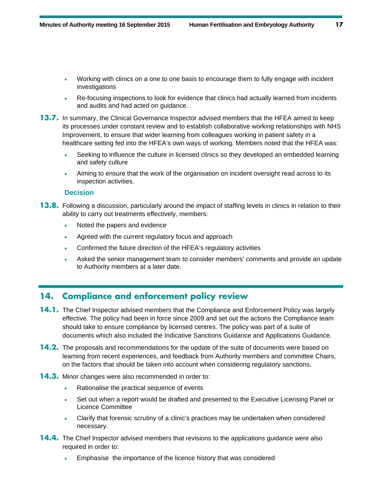- Working with clinics on a one to one basis to encourage them to fully engage with incident investigations
- Re-focusing inspections to look for evidence that clinics had actually learned from incidents and audits and had acted on guidance.
- **13.7.** In summary, the Clinical Governance Inspector advised members that the HFEA aimed to keep its processes under constant review and to establish collaborative working relationships with NHS Improvement, to ensure that wider learning from colleagues working in patient safety in a healthcare setting fed into the HFEA's own ways of working. Members noted that the HFEA was:
	- Seeking to influence the culture in licensed clinics so they developed an embedded learning and safety culture
	- Aiming to ensure that the work of the organisation on incident oversight read across to its inspection activities.

#### **Decision**

- **13.8.** Following a discussion, particularly around the impact of staffing levels in clinics in relation to their ability to carry out treatments effectively, members:
	- Noted the papers and evidence
	- Agreed with the current regulatory focus and approach
	- Confirmed the future direction of the HFEA's regulatory activities
	- Asked the senior management team to consider members' comments and provide an update to Authority members at a later date.

# **14. Compliance and enforcement policy review**

- **14.1.** The Chief Inspector advised members that the Compliance and Enforcement Policy was largely effective. The policy had been in force since 2009 and set out the actions the Compliance team should take to ensure compliance by licensed centres. The policy was part of a suite of documents which also included the Indicative Sanctions Guidance and Applications Guidance.
- **14.2.** The proposals and recommendations for the update of the suite of documents were based on learning from recent experiences, and feedback from Authority members and committee Chairs, on the factors that should be taken into account when considering regulatory sanctions.
- **14.3.** Minor changes were also recommended in order to:
	- Rationalise the practical sequence of events
	- Set out when a report would be drafted and presented to the Executive Licensing Panel or Licence Committee
	- Clarify that forensic scrutiny of a clinic's practices may be undertaken when considered necessary.
- **14.4.** The Chief Inspector advised members that revisions to the applications guidance were also required in order to:
	- Emphasise the importance of the licence history that was considered